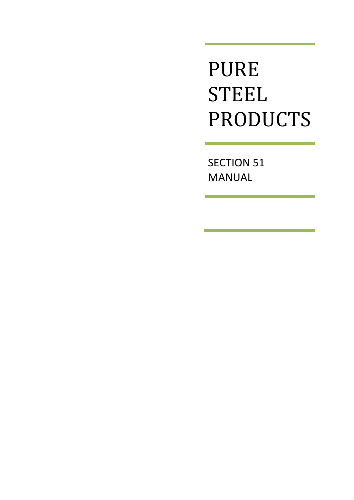**PURE STEEL** PRODUCTS

**SECTION 51 MANUAL**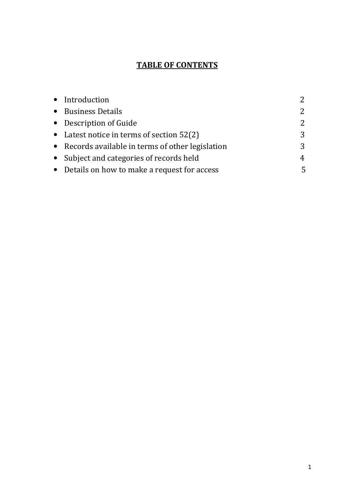## **TABLE OF CONTENTS**

| • Introduction                                    | $\overline{2}$ |
|---------------------------------------------------|----------------|
| • Business Details                                | 2              |
| • Description of Guide                            | 2              |
| • Latest notice in terms of section $52(2)$       | 3              |
| • Records available in terms of other legislation | 3              |
| • Subject and categories of records held          | 4              |
| • Details on how to make a request for access     | 5              |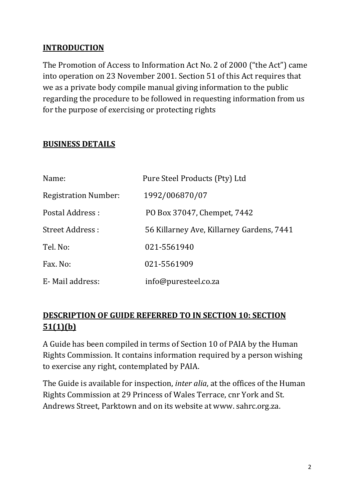### **INTRODUCTION**

The Promotion of Access to Information Act No. 2 of 2000 ("the Act") came into operation on 23 November 2001. Section 51 of this Act requires that we as a private body compile manual giving information to the public regarding the procedure to be followed in requesting information from us for the purpose of exercising or protecting rights

### **BUSINESS DETAILS**

| Name:                       | Pure Steel Products (Pty) Ltd             |
|-----------------------------|-------------------------------------------|
| <b>Registration Number:</b> | 1992/006870/07                            |
| Postal Address :            | PO Box 37047, Chempet, 7442               |
| Street Address:             | 56 Killarney Ave, Killarney Gardens, 7441 |
| Tel. No:                    | 021-5561940                               |
| Fax. No:                    | 021-5561909                               |
| E-Mail address:             | info@puresteel.co.za                      |

### **DESCRIPTION OF GUIDE REFERRED TO IN SECTION 10: SECTION**  $51(1)(b)$

A Guide has been compiled in terms of Section 10 of PAIA by the Human Rights Commission. It contains information required by a person wishing to exercise any right, contemplated by PAIA.

The Guide is available for inspection, *inter alia*, at the offices of the Human Rights Commission at 29 Princess of Wales Terrace, cnr York and St. Andrews Street, Parktown and on its website at www. sahrc.org.za.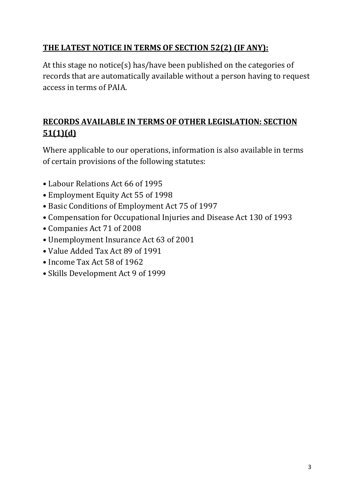## THE LATEST NOTICE IN TERMS OF SECTION 52(2) (IF ANY):

At this stage no notice(s) has/have been published on the categories of records that are automatically available without a person having to request access in terms of PAIA.

# RECORDS AVAILABLE IN TERMS OF OTHER LEGISLATION: SECTION  $51(1)(d)$

Where applicable to our operations, information is also available in terms of certain provisions of the following statutes:

- Labour Relations Act 66 of 1995
- Employment Equity Act 55 of 1998
- Basic Conditions of Employment Act 75 of 1997
- Compensation for Occupational Injuries and Disease Act 130 of 1993
- Companies Act 71 of 2008
- Unemployment Insurance Act 63 of 2001
- Value Added Tax Act 89 of 1991
- Income Tax Act 58 of 1962
- Skills Development Act 9 of 1999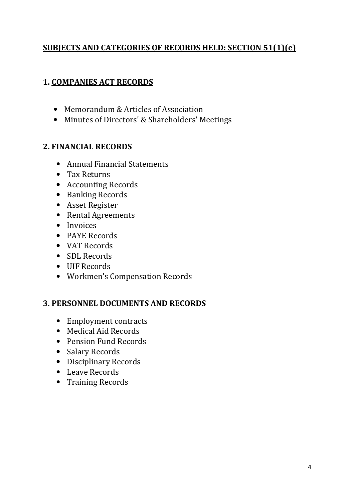### **SUBJECTS AND CATEGORIES OF RECORDS HELD: SECTION 51(1)(e)**

### **1. COMPANIES ACT RECORDS**

- Memorandum & Articles of Association
- Minutes of Directors' & Shareholders' Meetings

### **2. FINANCIAL RECORDS**

- Annual Financial Statements
- Tax Returns
- Accounting Records
- Banking Records
- Asset Register
- Rental Agreements
- Invoices
- PAYE Records
- VAT Records
- SDL Records
- UIF Records
- Workmen's Compensation Records

### **3. PERSONNEL DOCUMENTS AND RECORDS**

- Employment contracts
- Medical Aid Records
- Pension Fund Records
- Salary Records
- Disciplinary Records
- Leave Records
- Training Records